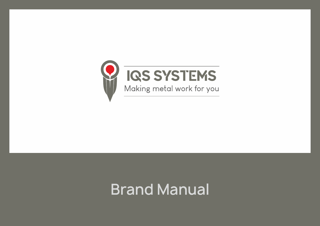

# **Brand Manual**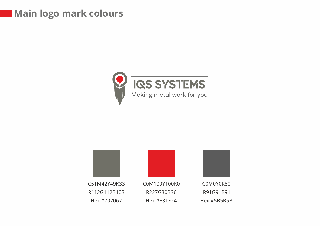#### **Main logo mark colours**



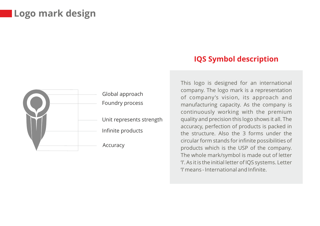#### **Logo mark design**



#### **IQS Symbol description**

This logo is designed for an international company. The logo mark is a representation of company's vision, its approach and manufacturing capacity. As the company is continuously working with the premium quality and precision this logo shows it all. The accuracy, perfection of products is packed in the structure. Also the 3 forms under the circular form stands for infinite possibilities of products which is the USP of the company. The whole mark/symbol is made out of letter 'I'. As it is the initial letter of IQS systems. Letter 'I' means - International and Infinite.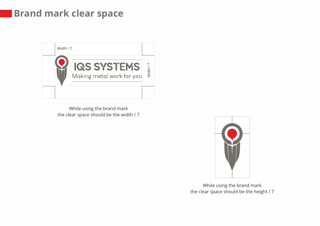#### **Brand mark clear space**



While using the brand mark the clear space should be the width / 7



While using the brand mark the clear space should be the height / 7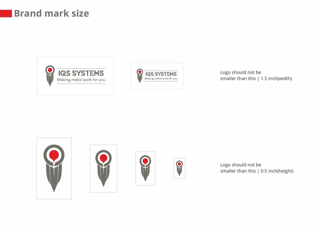#### **Brand mark size**





Logo should not be smaller than this | 1.5 inch(width)









Logo should not be smaller than this | 0.5 inch(height)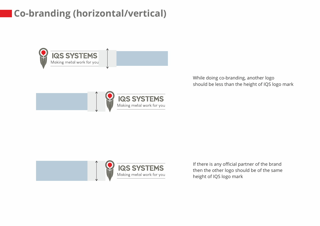# **Co-branding (horizontal/vertical)**



While doing co-branding, another logo should be less than the height of IQS logo mark



If there is any official partner of the brand then the other logo should be of the same height of IQS logo mark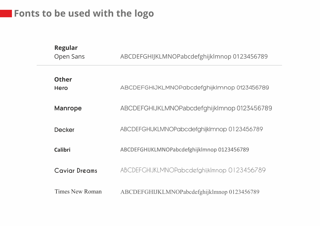## **Fonts to be used with the logo**

| <b>Regular</b><br>Open Sans | ABCDEFGHIJKLMNOPabcdefghijklmnop 0123456789 |
|-----------------------------|---------------------------------------------|
| <b>Other</b><br><b>Hero</b> | ABCDEFGHIJKLMNOPabcdefghijkImnop 0123456789 |
| <b>Manrope</b>              | ABCDEFGHIJKLMNOPabcdefghijklmnop 0123456789 |
| <b>Decker</b>               | ABCDEFGHIJKLMNOPabcdefghijkImnop 0123456789 |
| <b>Calibri</b>              | ABCDEFGHIJKLMNOPabcdefghijklmnop 0123456789 |
| <b>Caviar Dreams</b>        | ABCDEFGHIJKLMNOPabcdefghijklmnop 0123456789 |
| <b>Times New Roman</b>      | ABCDEFGHIJKLMNOPabcdefghijklmnop 0123456789 |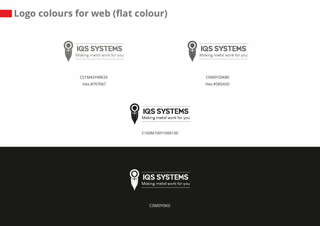### **Logo colours for web (flat colour)**





C51M42Y49K33 Hex #707067

C0M0Y20K80 Hex #5B5A50



C100M100Y100K100



C0M0Y0K0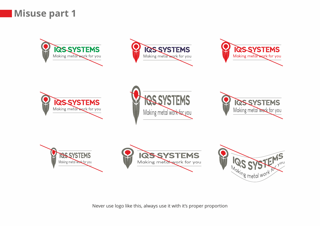



















Never use logo like this, always use it with it's proper proportion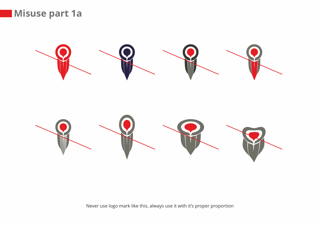



Never use logo mark like this, always use it with it's proper proportion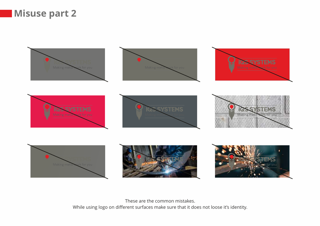#### **Misuse part 2**



These are the common mistakes. While using logo on different surfaces make sure that it does not loose it's identity.